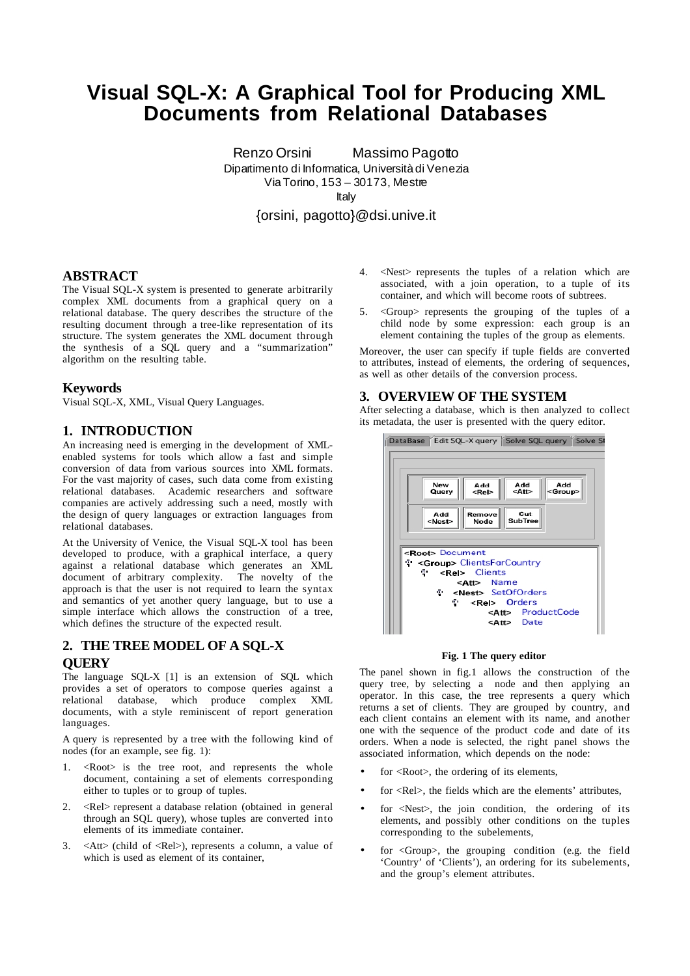# **Visual SQL-X: A Graphical Tool for Producing XML Documents from Relational Databases**

Renzo Orsini Massimo Pagotto Dipartimento di Informatica, Università di Venezia Via Torino, 153 – 30173, Mestre Italy

{orsini, pagotto}@dsi.unive.it

# **ABSTRACT**

The Visual SQL-X system is presented to generate arbitrarily complex XML documents from a graphical query on a relational database. The query describes the structure of the resulting document through a tree-like representation of its structure. The system generates the XML document through the synthesis of a SQL query and a "summarization" algorithm on the resulting table.

## **Keywords**

Visual SQL-X, XML, Visual Query Languages.

# **1. INTRODUCTION**

An increasing need is emerging in the development of XMLenabled systems for tools which allow a fast and simple conversion of data from various sources into XML formats. For the vast majority of cases, such data come from existing relational databases. Academic researchers and software companies are actively addressing such a need, mostly with the design of query languages or extraction languages from relational databases.

At the University of Venice, the Visual SQL-X tool has been developed to produce, with a graphical interface, a query against a relational database which generates an XML document of arbitrary complexity. The novelty of the approach is that the user is not required to learn the syntax and semantics of yet another query language, but to use a simple interface which allows the construction of a tree, which defines the structure of the expected result.

# **2. THE TREE MODEL OF A SQL-X QUERY**

The language SQL-X [1] is an extension of SQL which provides a set of operators to compose queries against a relational database, which produce complex XML documents, with a style reminiscent of report generation languages.

A query is represented by a tree with the following kind of nodes (for an example, see fig. 1):

- $\langle Root\rangle$  is the tree root, and represents the whole document, containing a set of elements corresponding either to tuples or to group of tuples.
- 2. <Rel> represent a database relation (obtained in general through an SQL query), whose tuples are converted into elements of its immediate container.
- 3. <Att> (child of <Rel>), represents a column, a value of which is used as element of its container,
- 4. <Nest> represents the tuples of a relation which are associated, with a join operation, to a tuple of its container, and which will become roots of subtrees.
- 5. <Group> represents the grouping of the tuples of a child node by some expression: each group is an element containing the tuples of the group as elements.

Moreover, the user can specify if tuple fields are converted to attributes, instead of elements, the ordering of sequences, as well as other details of the conversion process.

# **3. OVERVIEW OF THE SYSTEM**

After selecting a database, which is then analyzed to collect its metadata, the user is presented with the query editor.



#### **Fig. 1 The query editor**

The panel shown in fig.1 allows the construction of the query tree, by selecting a node and then applying an operator. In this case, the tree represents a query which returns a set of clients. They are grouped by country, and each client contains an element with its name, and another one with the sequence of the product code and date of its orders. When a node is selected, the right panel shows the associated information, which depends on the node:

- for <Root>, the ordering of its elements,
- for <Rel>, the fields which are the elements' attributes,
- for  $\langle Nest\rangle$ , the join condition, the ordering of its elements, and possibly other conditions on the tuples corresponding to the subelements,
- for  $\langle$ Group>, the grouping condition (e.g. the field 'Country' of 'Clients'), an ordering for its subelements, and the group's element attributes.